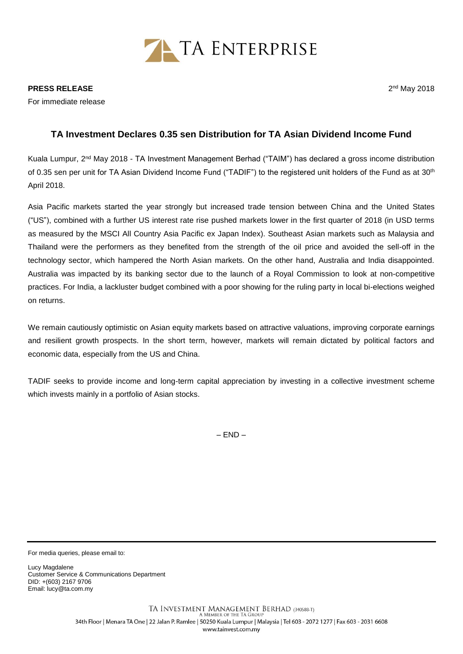

**PRESS RELEASE**

For immediate release

2<sup>nd</sup> May 2018

## **TA Investment Declares 0.35 sen Distribution for TA Asian Dividend Income Fund**

Kuala Lumpur, 2<sup>nd</sup> May 2018 - TA Investment Management Berhad ("TAIM") has declared a gross income distribution of 0.35 sen per unit for TA Asian Dividend Income Fund ("TADIF") to the registered unit holders of the Fund as at 30<sup>th</sup> April 2018.

Asia Pacific markets started the year strongly but increased trade tension between China and the United States ("US"), combined with a further US interest rate rise pushed markets lower in the first quarter of 2018 (in USD terms as measured by the MSCI All Country Asia Pacific ex Japan Index). Southeast Asian markets such as Malaysia and Thailand were the performers as they benefited from the strength of the oil price and avoided the sell-off in the technology sector, which hampered the North Asian markets. On the other hand, Australia and India disappointed. Australia was impacted by its banking sector due to the launch of a Royal Commission to look at non-competitive practices. For India, a lackluster budget combined with a poor showing for the ruling party in local bi-elections weighed on returns.

We remain cautiously optimistic on Asian equity markets based on attractive valuations, improving corporate earnings and resilient growth prospects. In the short term, however, markets will remain dictated by political factors and economic data, especially from the US and China.

TADIF seeks to provide income and long-term capital appreciation by investing in a collective investment scheme which invests mainly in a portfolio of Asian stocks.

 $-$  END  $-$ 

For media queries, please email to:

Lucy Magdalene Customer Service & Communications Department DID: +(603) 2167 9706 Email: lucy@ta.com.my